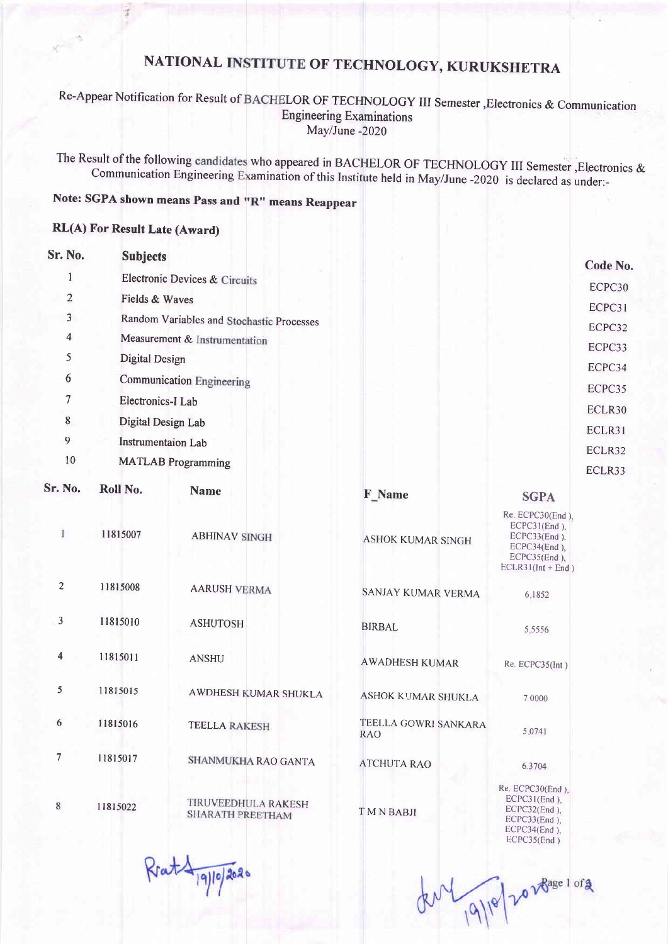## NATIONAL OF TECHNOLOGY, KURUKSHETRA

#### Re-Appear Notification for Result of BACHELOR OF TECHNOLOGY III Semester, Electronics & Communication Engineering Examinations MaylJune -2020

The Result of the following candidates who appeared in BACHELOR OF TECHNOLOGY III Semester, Electronics & Communication Engineering Examination of this Institute held in May/June -2020 is declared as under:-

### Note: SGPA shown means Pass and "R" means Reappear

### RL(A) For Result Late (Award)

| Sr. No.                 | <b>Subjects</b>                           |                                          |                                    |                                                                                                            | Code No.         |
|-------------------------|-------------------------------------------|------------------------------------------|------------------------------------|------------------------------------------------------------------------------------------------------------|------------------|
| 1                       |                                           | <b>Electronic Devices &amp; Circuits</b> |                                    |                                                                                                            | ECPC30           |
| $\overline{2}$          | Fields & Waves                            |                                          |                                    |                                                                                                            | ECPC31           |
| 3                       | Random Variables and Stochastic Processes |                                          |                                    |                                                                                                            | ECPC32           |
| 4                       | Measurement & Instrumentation             |                                          |                                    |                                                                                                            | ECPC33           |
| 5                       | <b>Digital Design</b>                     |                                          |                                    |                                                                                                            | ECPC34           |
| 6                       |                                           | <b>Communication Engineering</b>         |                                    |                                                                                                            |                  |
| 7                       | Electronics-I Lab                         |                                          |                                    |                                                                                                            | ECPC35<br>ECLR30 |
| 8                       | Digital Design Lab                        |                                          |                                    |                                                                                                            |                  |
| 9                       | <b>Instrumentaion Lab</b>                 |                                          |                                    |                                                                                                            |                  |
| 10                      |                                           | <b>MATLAB</b> Programming                |                                    |                                                                                                            | ECLR32           |
| Sr. No.                 | Roll No.                                  |                                          |                                    |                                                                                                            | ECLR33           |
|                         |                                           | <b>Name</b>                              | F Name                             | <b>SGPA</b>                                                                                                |                  |
| 1                       | 11815007                                  | <b>ABHINAV SINGH</b>                     | <b>ASHOK KUMAR SINGH</b>           | Re. ECPC30(End),<br>$ECPC31(End)$ ,<br>ECPC33(End),<br>ECPC34(End),<br>ECPC35(End),<br>$ECLR31(Int + End)$ |                  |
| $\overline{c}$          | 11815008                                  | <b>AARUSH VERMA</b>                      | SANJAY KUMAR VERMA                 | 6.1852                                                                                                     |                  |
| 3                       | 11815010                                  | <b>ASHUTOSH</b>                          | <b>BIRBAL</b>                      | 5.5556                                                                                                     |                  |
| $\overline{\mathbf{4}}$ | 11815011                                  | <b>ANSHU</b>                             | <b>AWADHESH KUMAR</b>              | Re. ECPC35(Int)                                                                                            |                  |
| 5                       | 11815015                                  | AWDHESH KUMAR SHUKLA                     | ASHOK KUMAR SHUKLA                 | 7 0000                                                                                                     |                  |
| 6                       | 11815016                                  | <b>TEELLA RAKESH</b>                     | TEELLA GOWRI SANKARA<br><b>RAO</b> | 5.0741                                                                                                     |                  |
| 7                       | 11815017                                  | SHANMUKHA RAO GANTA                      | <b>ATCHUTA RAO</b>                 | 6.3704                                                                                                     |                  |
| $8\phantom{1}$          | 11815022                                  | TIRUVEEDHULA RAKESH<br>SHARATH PREETHAM  | <b>TMNBABJI</b>                    | Re. ECPC30(End),<br>$ECPC31(End)$ ,<br>$ECPC32(End)$ ,<br>$ECPC33(End)$ .<br>ECPC34(End),<br>ECPC35(End)   |                  |

Rrat 19/10/2020

dul 19/18/2028age 1 org